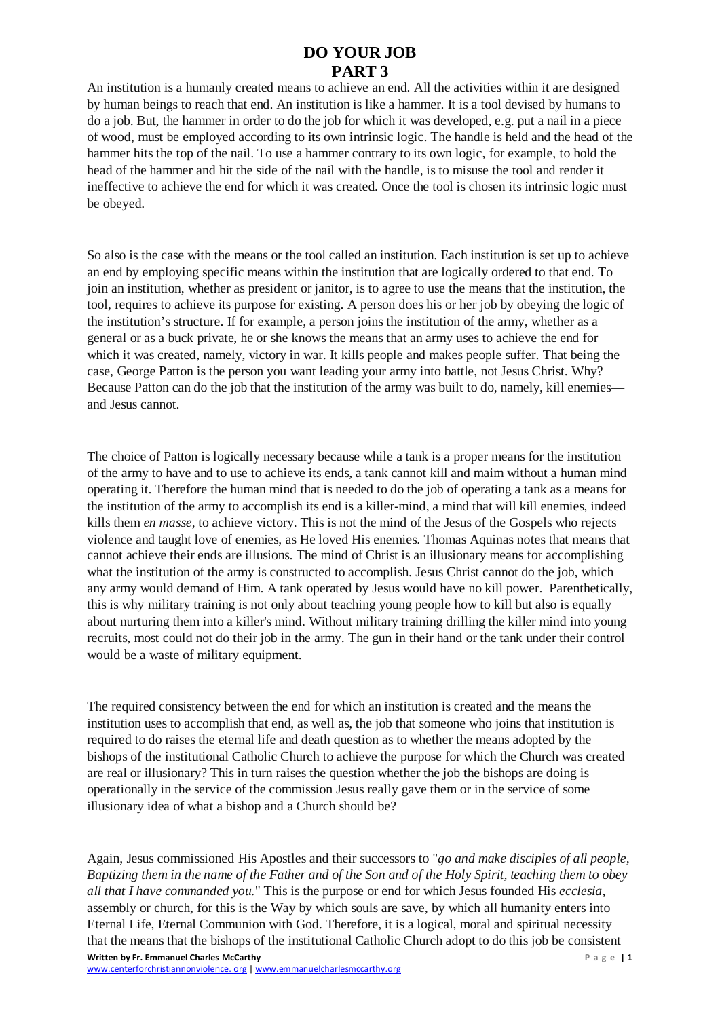## **DO YOUR JOB PART 3**

An institution is a humanly created means to achieve an end. All the activities within it are designed by human beings to reach that end. An institution is like a hammer. It is a tool devised by humans to do a job. But, the hammer in order to do the job for which it was developed, e.g. put a nail in a piece of wood, must be employed according to its own intrinsic logic. The handle is held and the head of the hammer hits the top of the nail. To use a hammer contrary to its own logic, for example, to hold the head of the hammer and hit the side of the nail with the handle, is to misuse the tool and render it ineffective to achieve the end for which it was created. Once the tool is chosen its intrinsic logic must be obeyed.

So also is the case with the means or the tool called an institution. Each institution is set up to achieve an end by employing specific means within the institution that are logically ordered to that end. To join an institution, whether as president or janitor, is to agree to use the means that the institution, the tool, requires to achieve its purpose for existing. A person does his or her job by obeying the logic of the institution's structure. If for example, a person joins the institution of the army, whether as a general or as a buck private, he or she knows the means that an army uses to achieve the end for which it was created, namely, victory in war. It kills people and makes people suffer. That being the case, George Patton is the person you want leading your army into battle, not Jesus Christ. Why? Because Patton can do the job that the institution of the army was built to do, namely, kill enemies and Jesus cannot.

The choice of Patton is logically necessary because while a tank is a proper means for the institution of the army to have and to use to achieve its ends, a tank cannot kill and maim without a human mind operating it. Therefore the human mind that is needed to do the job of operating a tank as a means for the institution of the army to accomplish its end is a killer-mind, a mind that will kill enemies, indeed kills them *en masse*, to achieve victory. This is not the mind of the Jesus of the Gospels who rejects violence and taught love of enemies, as He loved His enemies. Thomas Aquinas notes that means that cannot achieve their ends are illusions. The mind of Christ is an illusionary means for accomplishing what the institution of the army is constructed to accomplish. Jesus Christ cannot do the job, which any army would demand of Him. A tank operated by Jesus would have no kill power. Parenthetically, this is why military training is not only about teaching young people how to kill but also is equally about nurturing them into a killer's mind. Without military training drilling the killer mind into young recruits, most could not do their job in the army. The gun in their hand or the tank under their control would be a waste of military equipment.

The required consistency between the end for which an institution is created and the means the institution uses to accomplish that end, as well as, the job that someone who joins that institution is required to do raises the eternal life and death question as to whether the means adopted by the bishops of the institutional Catholic Church to achieve the purpose for which the Church was created are real or illusionary? This in turn raises the question whether the job the bishops are doing is operationally in the service of the commission Jesus really gave them or in the service of some illusionary idea of what a bishop and a Church should be?

**Written by Fr. Emmanuel Charles McCarthy Page | 1** Again, Jesus commissioned His Apostles and their successors to "*go and make disciples of all people, Baptizing them in the name of the Father and of the Son and of the Holy Spirit, teaching them to obey all that I have commanded you.*" This is the purpose or end for which Jesus founded His *ecclesia,* assembly or church, for this is the Way by which souls are save, by which all humanity enters into Eternal Life, Eternal Communion with God. Therefore, it is a logical, moral and spiritual necessity that the means that the bishops of the institutional Catholic Church adopt to do this job be consistent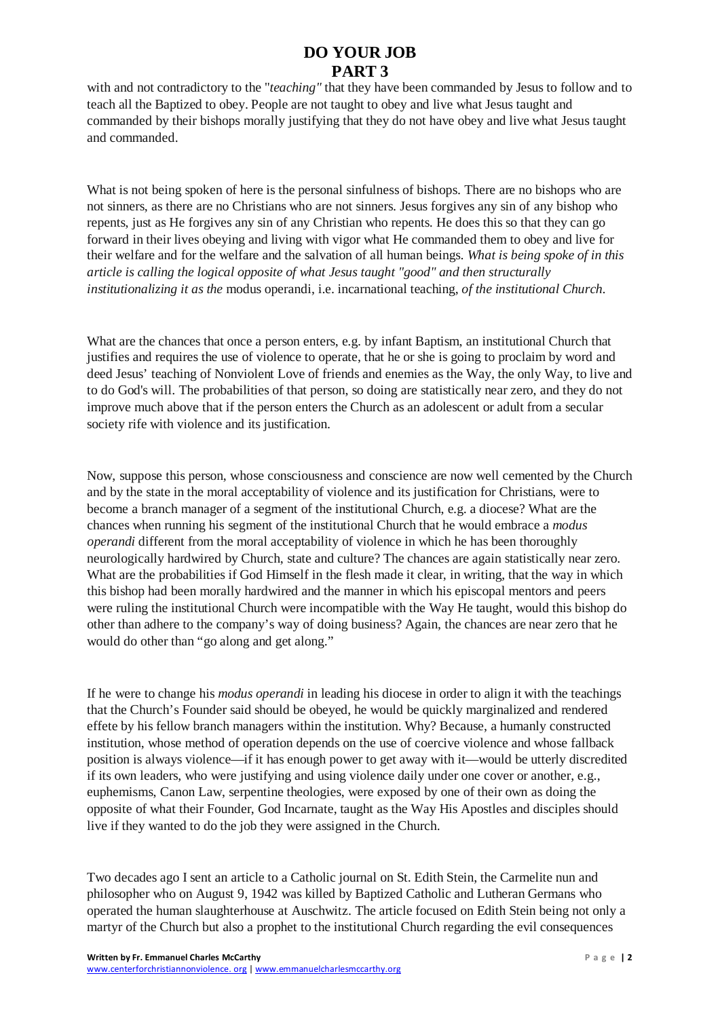## **DO YOUR JOB PART 3**

with and not contradictory to the "*teaching"* that they have been commanded by Jesus to follow and to teach all the Baptized to obey. People are not taught to obey and live what Jesus taught and commanded by their bishops morally justifying that they do not have obey and live what Jesus taught and commanded.

What is not being spoken of here is the personal sinfulness of bishops. There are no bishops who are not sinners, as there are no Christians who are not sinners. Jesus forgives any sin of any bishop who repents, just as He forgives any sin of any Christian who repents. He does this so that they can go forward in their lives obeying and living with vigor what He commanded them to obey and live for their welfare and for the welfare and the salvation of all human beings. *What is being spoke of in this article is calling the logical opposite of what Jesus taught "good" and then structurally institutionalizing it as the* modus operandi, i.e. incarnational teaching, *of the institutional Church.*

What are the chances that once a person enters, e.g. by infant Baptism, an institutional Church that justifies and requires the use of violence to operate, that he or she is going to proclaim by word and deed Jesus' teaching of Nonviolent Love of friends and enemies as the Way, the only Way, to live and to do God's will. The probabilities of that person, so doing are statistically near zero, and they do not improve much above that if the person enters the Church as an adolescent or adult from a secular society rife with violence and its justification.

Now, suppose this person, whose consciousness and conscience are now well cemented by the Church and by the state in the moral acceptability of violence and its justification for Christians, were to become a branch manager of a segment of the institutional Church, e.g. a diocese? What are the chances when running his segment of the institutional Church that he would embrace a *modus operandi* different from the moral acceptability of violence in which he has been thoroughly neurologically hardwired by Church, state and culture? The chances are again statistically near zero. What are the probabilities if God Himself in the flesh made it clear, in writing, that the way in which this bishop had been morally hardwired and the manner in which his episcopal mentors and peers were ruling the institutional Church were incompatible with the Way He taught, would this bishop do other than adhere to the company's way of doing business? Again, the chances are near zero that he would do other than "go along and get along."

If he were to change his *modus operandi* in leading his diocese in order to align it with the teachings that the Church's Founder said should be obeyed, he would be quickly marginalized and rendered effete by his fellow branch managers within the institution. Why? Because, a humanly constructed institution, whose method of operation depends on the use of coercive violence and whose fallback position is always violence—if it has enough power to get away with it—would be utterly discredited if its own leaders, who were justifying and using violence daily under one cover or another, e.g., euphemisms, Canon Law, serpentine theologies, were exposed by one of their own as doing the opposite of what their Founder, God Incarnate, taught as the Way His Apostles and disciples should live if they wanted to do the job they were assigned in the Church.

Two decades ago I sent an article to a Catholic journal on St. Edith Stein, the Carmelite nun and philosopher who on August 9, 1942 was killed by Baptized Catholic and Lutheran Germans who operated the human slaughterhouse at Auschwitz. The article focused on Edith Stein being not only a martyr of the Church but also a prophet to the institutional Church regarding the evil consequences